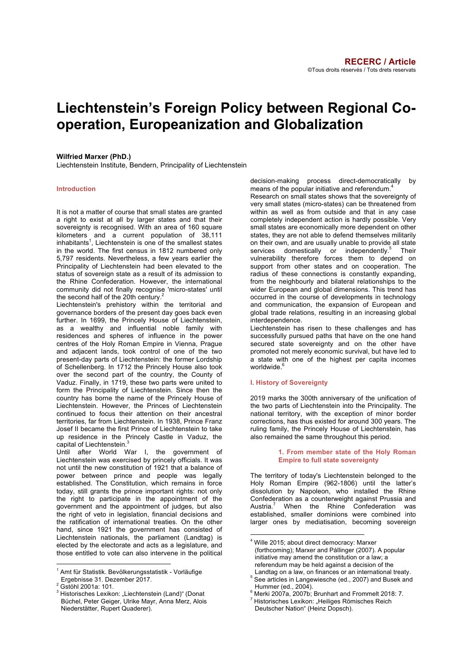# **Liechtenstein's Foreign Policy between Regional Cooperation, Europeanization and Globalization**

## **Wilfried Marxer (PhD.)**

Liechtenstein Institute, Bendern, Principality of Liechtenstein

## **Introduction**

It is not a matter of course that small states are granted a right to exist at all by larger states and that their sovereignty is recognised. With an area of 160 square kilometers and a current population of 38,111 inhabitants<sup>1</sup>, Liechtenstein is one of the smallest states in the world. The first census in 1812 numbered only 5,797 residents. Nevertheless, a few years earlier the Principality of Liechtenstein had been elevated to the status of sovereign state as a result of its admission to the Rhine Confederation. However, the international community did not finally recognise 'micro-states' until the second half of the 20th century.

Liechtenstein's prehistory within the territorial and governance borders of the present day goes back even further. In 1699, the Princely House of Liechtenstein, as a wealthy and influential noble family with residences and spheres of influence in the power centres of the Holy Roman Empire in Vienna, Prague and adjacent lands, took control of one of the two present-day parts of Liechtenstein: the former Lordship of Schellenberg. In 1712 the Princely House also took over the second part of the country, the County of Vaduz. Finally, in 1719, these two parts were united to form the Principality of Liechtenstein. Since then the country has borne the name of the Princely House of Liechtenstein. However, the Princes of Liechtenstein continued to focus their attention on their ancestral territories, far from Liechtenstein. In 1938, Prince Franz Josef II became the first Prince of Liechtenstein to take up residence in the Princely Castle in Vaduz, the capital of Liechtenstein.<sup>3</sup>

Until after World War I, the government of Liechtenstein was exercised by princely officials. It was not until the new constitution of 1921 that a balance of power between prince and people was legally established. The Constitution, which remains in force today, still grants the prince important rights: not only the right to participate in the appointment of the government and the appointment of judges, but also the right of veto in legislation, financial decisions and the ratification of international treaties. On the other hand, since 1921 the government has consisted of Liechtenstein nationals, the parliament (Landtag) is elected by the electorate and acts as a legislature, and those entitled to vote can also intervene in the political decision-making process direct-democratically by means of the popular initiative and referendum.<sup>4</sup>

Research on small states shows that the sovereignty of very small states (micro-states) can be threatened from within as well as from outside and that in any case completely independent action is hardly possible. Very small states are economically more dependent on other states, they are not able to defend themselves militarily on their own, and are usually unable to provide all state services domestically or independently.<sup>5</sup> Their vulnerability therefore forces them to depend on support from other states and on cooperation. The radius of these connections is constantly expanding, from the neighbourly and bilateral relationships to the wider European and global dimensions. This trend has occurred in the course of developments in technology and communication, the expansion of European and global trade relations, resulting in an increasing global interdependence.

Liechtenstein has risen to these challenges and has successfully pursued paths that have on the one hand secured state sovereignty and on the other have promoted not merely economic survival, but have led to a state with one of the highest per capita incomes worldwide.<sup>6</sup>

## **I. History of Sovereignty**

1

2019 marks the 300th anniversary of the unification of the two parts of Liechtenstein into the Principality. The national territory, with the exception of minor border corrections, has thus existed for around 300 years. The ruling family, the Princely House of Liechtenstein, has also remained the same throughout this period.

## **1. From member state of the Holy Roman Empire to full state sovereignty**

The territory of today's Liechtenstein belonged to the Holy Roman Empire (962-1806) until the latter's dissolution by Napoleon, who installed the Rhine Confederation as a counterweight against Prussia and Austria.<sup>7</sup> When the Rhine Confederation was established, smaller dominions were combined into larger ones by mediatisation, becoming sovereign

 $1$  Amt für Statistik. Bevölkerungsstatistik - Vorläufige<br>Ergebnisse 31. Dezember 2017.

 $2$  Gstöhl 2001a: 101.

<sup>&</sup>lt;sup>3</sup> Historisches Lexikon: "Liechtenstein (Land)" (Donat Büchel, Peter Geiger, Ulrike Mayr, Anna Merz, Alois Niederstätter, Rupert Quaderer).

<sup>&</sup>lt;sup>4</sup> Wille 2015; about direct democracy: Marxer (forthcoming); Marxer and Pállinger (2007). A popular initiative may amend the constitution or a law; a referendum may be held against a decision of the<br>Landtag on a law, on finances or an international treaty.

See articles in Langewiesche (ed., 2007) and Busek and

Hummer (ed., 2004).<br><sup>6</sup> Merki 2007a, 2007b; Brunhart and Frommelt 2018: 7.<br><sup>7</sup> Historisches Lexikon: "Heiliges Römisches Reich

Deutscher Nation" (Heinz Dopsch).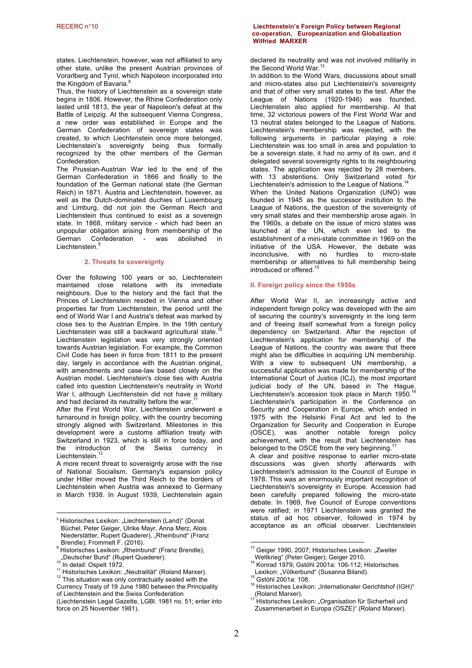states. Liechtenstein, however, was not affiliated to any other state, unlike the present Austrian provinces of Vorarlberg and Tyrol, which Napoleon incorporated into the Kingdom of Bavaria.<sup>8</sup>

Thus, the history of Liechtenstein as a sovereign state begins in 1806. However, the Rhine Confederation only lasted until 1813, the year of Napoleon's defeat at the Battle of Leipzig. At the subsequent Vienna Congress, a new order was established in Europe and the German Confederation of sovereign states was created, to which Liechtenstein once more belonged, Liechtenstein's sovereignty being thus formally recognized by the other members of the German Confederation.

The Prussian-Austrian War led to the end of the German Confederation in 1866 and finally to the foundation of the German national state (the German Reich) in 1871. Austria and Liechtenstein, however, as well as the Dutch-dominated duchies of Luxembourg and Limburg, did not join the German Reich and Liechtenstein thus continued to exist as a sovereign state. In 1868, military service - which had been an unpopular obligation arising from membership of the<br>German Confederation - was abolished in German Confederation - was abolished in Liechtenstein.<sup>9</sup>

## **2. Threats to sovereignty**

Over the following 100 years or so, Liechtenstein maintained close relations with its immediate neighbours. Due to the history and the fact that the Princes of Liechtenstein resided in Vienna and other properties far from Liechtenstein, the period until the end of World War I and Austria's defeat was marked by close ties to the Austrian Empire. In the 19th century Liechtenstein was still a backward agricultural state. Liechtenstein legislation was very strongly oriented towards Austrian legislation. For example, the Common Civil Code has been in force from 1811 to the present day, largely in accordance with the Austrian original, with amendments and case-law based closely on the Austrian model. Liechtenstein's close ties with Austria called into question Liechtenstein's neutrality in World War I, although Liechtenstein did not have a military and had declared its neutrality before the war.<sup>1</sup>

After the First World War, Liechtenstein underwent a turnaround in foreign policy, with the country becoming strongly aligned with Switzerland. Milestones in this development were a customs affiliation treaty with Switzerland in 1923, which is still in force today, and the introduction of the Swiss currency in Liechtenstein.<sup>1</sup>

A more recent threat to sovereignty arose with the rise of National Socialism. Germany's expansion policy under Hitler moved the Third Reich to the borders of Liechtenstein when Austria was annexed to Germany in March 1938. In August 1939, Liechtenstein again

Currency Treaty of 19 June 1980 between the Principality of Liechtenstein and the Swiss Confederation

(Liechtenstein Legal Gazette, LGBl. 1981 no. 51; enter into force on 25 November 1981).

## RECERC n°10 **Liechtenstein's Foreign Policy between Regional co-operation, Europeanization and Globalization Wilfried MARXER**

declared its neutrality and was not involved militarily in the Second World War.<sup>13</sup>

In addition to the World Wars, discussions about small and micro-states also put Liechtenstein's sovereignty and that of other very small states to the test. After the League of Nations (1920-1946) was founded, Liechtenstein also applied for membership. At that time, 32 victorious powers of the First World War and 13 neutral states belonged to the League of Nations. Liechtenstein's membership was rejected, with the following arguments in particular playing a role: Liechtenstein was too small in area and population to be a sovereign state, it had no army of its own, and it delegated several sovereignty rights to its neighbouring states. The application was rejected by 28 members, with 13 abstentions. Only Switzerland voted for Liechtenstein's admission to the League of Nations. When the United Nations Organization (UNO) was founded in 1945 as the successor institution to the League of Nations, the question of the sovereignty of very small states and their membership arose again. In the 1960s, a debate on the issue of micro states was launched at the UN, which even led to the establishment of a mini-state committee in 1969 on the initiative of the USA. However, the debate was inconclusive, with no hurdles to micro-state membership or alternatives to full membership being introduced or offered.<sup>15</sup>

## **II. Foreign policy since the 1950s**

After World War II, an increasingly active and independent foreign policy was developed with the aim of securing the country's sovereignty in the long term and of freeing itself somewhat from a foreign policy dependency on Switzerland. After the rejection of Liechtenstein's application for membership of the League of Nations, the country was aware that there might also be difficulties in acquiring UN membership. With a view to subsequent UN membership, a successful application was made for membership of the International Court of Justice (ICJ), the most important judicial body of the UN, based in The Hague. Liechtenstein's accession took place in March 1950.<sup>16</sup> Liechtenstein's participation in the Conference on Security and Cooperation in Europe, which ended in 1975 with the Helsinki Final Act and led to the Organization for Security and Cooperation in Europe<br>(OSCE), was another notable foreign policy notable foreign policy achievement, with the result that Liechtenstein has belonged to the OSCE from the very beginning.<sup>17</sup>

A clear and positive response to earlier micro-state discussions was given shortly afterwards with Liechtenstein's admission to the Council of Europe in 1978. This was an enormously important recognition of Liechtenstein's sovereignty in Europe. Accession had been carefully prepared following the micro-state debate. In 1969, five Council of Europe conventions were ratified; in 1971 Liechtenstein was granted the status of ad hoc observer, followed in 1974 by acceptance as an official observer. Liechtenstein

<sup>&</sup>lt;sup>8</sup> Historisches Lexikon: "Liechtenstein (Land)" (Donat Büchel, Peter Geiger, Ulrike Mayr, Anna Merz, Alois Niederstätter, Rupert Quaderer), "Rheinbund" (Franz<br>Brendle); Frommelt F. (2016).

Brendle); Frommelt Franz Brendle), Rheinbund" (Franz Brendle), "Deutscher Bund" (Rupert Quaderer).<br><sup>10</sup> In detail: Ospelt 1972.

 $\frac{1}{11}$  Historisches Lexikon: "Neutralität" (Roland Marxer). 12<br><sup>12</sup> This situation was only contractually sealed with the

<sup>&</sup>lt;sup>13</sup> Geiger 1990, 2007; Historisches Lexikon: "Zweiter<br>Weltkrieg" (Peter Geiger); Geiger 2010.

<sup>&</sup>lt;sup>14</sup> Konrad 1979; Gstöhl 2001a: 106-112; Historisches<br>Lexikon: "Völkerbund" (Susanna Biland).<br><sup>15</sup> Cetäkl 2001a: 106

<sup>&</sup>lt;sup>15</sup> Gstöhl 2001a: 108.<br><sup>16</sup> Historisches Lexikon: "Internationaler Gerichtshof (IGH)"<br>(Roland Marxer).

Historisches Lexikon: "Organisation für Sicherheit und Zusammenarbeit in Europa (OSZE)" (Roland Marxer).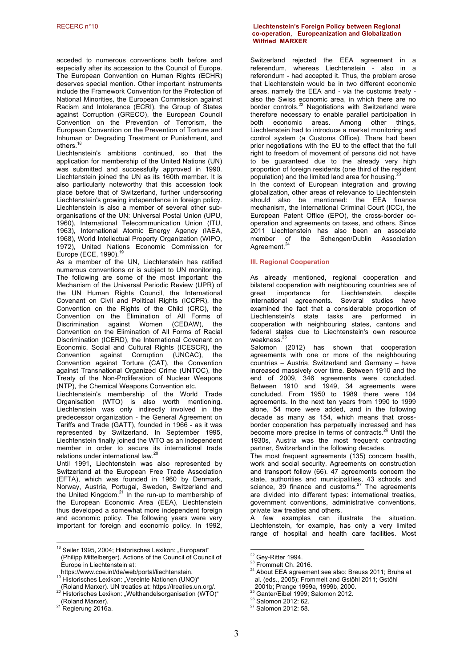acceded to numerous conventions both before and especially after its accession to the Council of Europe. The European Convention on Human Rights (ECHR) deserves special mention. Other important instruments include the Framework Convention for the Protection of National Minorities, the European Commission against Racism and Intolerance (ECRI), the Group of States against Corruption (GRECO), the European Council Convention on the Prevention of Terrorism, the European Convention on the Prevention of Torture and Inhuman or Degrading Treatment or Punishment, and others.<sup>18</sup>

Liechtenstein's ambitions continued, so that the application for membership of the United Nations (UN) was submitted and successfully approved in 1990. Liechtenstein joined the UN as its 160th member. It is also particularly noteworthy that this accession took place before that of Switzerland, further underscoring Liechtenstein's growing independence in foreign policy. Liechtenstein is also a member of several other suborganisations of the UN: Universal Postal Union (UPU, 1960), International Telecommunication Union (ITU, 1963), International Atomic Energy Agency (IAEA, 1968), World Intellectual Property Organization (WIPO, 1972), United Nations Economic Commission for Europe (ECE, 1990).<sup>1</sup>

As a member of the UN, Liechtenstein has ratified numerous conventions or is subject to UN monitoring. The following are some of the most important: the Mechanism of the Universal Periodic Review (UPR) of the UN Human Rights Council, the International Covenant on Civil and Political Rights (ICCPR), the Convention on the Rights of the Child (CRC), the Convention on the Elimination of All Forms of Discrimination against Women (CEDAW), the Convention on the Elimination of All Forms of Racial Discrimination (ICERD), the International Covenant on Economic, Social and Cultural Rights (ICESCR), the Convention against Corruption (UNCAC), the Convention against Torture (CAT), the Convention against Transnational Organized Crime (UNTOC), the Treaty of the Non-Proliferation of Nuclear Weapons (NTP), the Chemical Weapons Convention etc.

Liechtenstein's membership of the World Trade Organisation (WTO) is also worth mentioning. Liechtenstein was only indirectly involved in the predecessor organization - the General Agreement on Tariffs and Trade (GATT), founded in 1966 - as it was represented by Switzerland. In September 1995, Liechtenstein finally joined the WTO as an independent member in order to secure its international trade relations under international law.<sup>20</sup>

Until 1991, Liechtenstein was also represented by Switzerland at the European Free Trade Association (EFTA), which was founded in 1960 by Denmark, Norway, Austria, Portugal, Sweden, Switzerland and the United Kingdom.<sup>21</sup> In the run-up to membership of the European Economic Area (EEA), Liechtenstein thus developed a somewhat more independent foreign and economic policy. The following years were very important for foreign and economic policy. In 1992,

## RECERC n°10 **Liechtenstein's Foreign Policy between Regional co-operation, Europeanization and Globalization Wilfried MARXER**

Switzerland rejected the EEA agreement in a referendum, whereas Liechtenstein - also in a referendum - had accepted it. Thus, the problem arose that Liechtenstein would be in two different economic areas, namely the EEA and - via the customs treaty also the Swiss economic area, in which there are no border controls.<sup>22</sup> Negotiations with Switzerland were therefore necessary to enable parallel participation in both economic areas. Among other things, Liechtenstein had to introduce a market monitoring and control system (a Customs Office). There had been prior negotiations with the EU to the effect that the full right to freedom of movement of persons did not have to be guaranteed due to the already very high proportion of foreign residents (one third of the resident population) and the limited land area for housing.<sup>23</sup>

In the context of European integration and growing globalization, other areas of relevance to Liechtenstein should also be mentioned: the EEA finance mechanism, the International Criminal Court (ICC), the European Patent Office (EPO), the cross-border cooperation and agreements on taxes, and others. Since 2011 Liechtenstein has also been an associate Schengen/Dublin Association Agreement.<sup>24</sup>

## **III. Regional Cooperation**

As already mentioned, regional cooperation and bilateral cooperation with neighbouring countries are of great importance for Liechtenstein, despite international agreements. Several studies have examined the fact that a considerable proportion of Liechtenstein's state tasks are performed in cooperation with neighbouring states, cantons and federal states due to Liechtenstein's own resource weakness.<sup>25</sup>

Salomon (2012) has shown that cooperation agreements with one or more of the neighbouring countries – Austria, Switzerland and Germany – have increased massively over time. Between 1910 and the end of 2009, 346 agreements were concluded. Between 1910 and 1949, 34 agreements were concluded. From 1950 to 1989 there were 104 agreements. In the next ten years from 1990 to 1999 alone, 54 more were added, and in the following decade as many as 154, which means that crossborder cooperation has perpetually increased and has become more precise in terms of contracts.<sup>26</sup> Until the 1930s, Austria was the most frequent contracting partner, Switzerland in the following decades.

The most frequent agreements (135) concern health, work and social security. Agreements on construction and transport follow (66). 47 agreements concern the state, authorities and municipalities, 43 schools and science, 39 finance and customs. $27$  The agreements are divided into different types: international treaties, government conventions, administrative conventions, private law treaties and others.

A few examples can illustrate the situation. Liechtenstein, for example, has only a very limited range of hospital and health care facilities. Most

1

<sup>25</sup> Ganter/Eibel 1999; Salomon 2012. <sup>26</sup> Salomon 2012: 62. <sup>27</sup> Salomon 2012: 58.

 $18$  Seiler 1995, 2004; Historisches Lexikon: "Europarat" (Philipp Mittelberger). Actions of the Council of Council of Europe in Liechtenstein at:

https://www.coe.int/de/web/portal/liechtenstein.<br><sup>19</sup> Historisches Lexikon: "Vereinte Nationen (UNO)"<br>(Roland Marxer). UN treaties at: https://treaties.un.org/.

<sup>20</sup> Historisches Lexikon: "Welthandelsorganisation (WTO)"

<sup>(</sup>Roland Marxer). <sup>21</sup> Regierung 2016a.

<sup>&</sup>lt;sup>22</sup> Gey-Ritter 1994.<br><sup>23</sup> Frommelt Ch. 2016.<br><sup>24</sup> About EEA agreement see also: Breuss 2011; Bruha et al. (eds., 2005); Frommelt and Gstöhl 2011; Gstöhl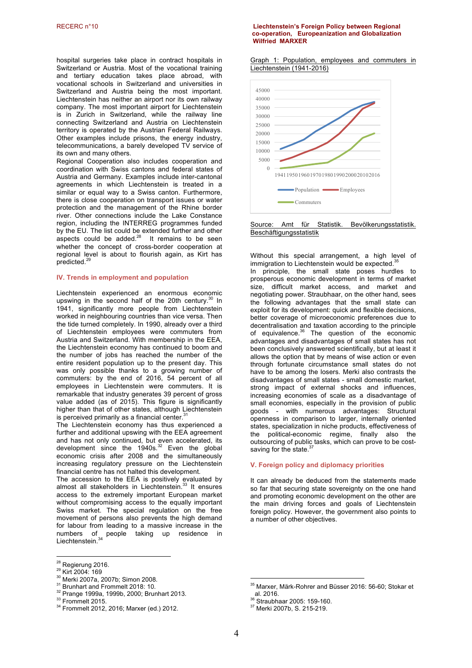hospital surgeries take place in contract hospitals in Switzerland or Austria. Most of the vocational training and tertiary education takes place abroad, with vocational schools in Switzerland and universities in Switzerland and Austria being the most important. Liechtenstein has neither an airport nor its own railway company. The most important airport for Liechtenstein is in Zurich in Switzerland, while the railway line connecting Switzerland and Austria on Liechtenstein territory is operated by the Austrian Federal Railways. Other examples include prisons, the energy industry, telecommunications, a barely developed TV service of its own and many others.

Regional Cooperation also includes cooperation and coordination with Swiss cantons and federal states of Austria and Germany. Examples include inter-cantonal agreements in which Liechtenstein is treated in a similar or equal way to a Swiss canton. Furthermore, there is close cooperation on transport issues or water protection and the management of the Rhine border river. Other connections include the Lake Constance region, including the INTERREG programmes funded by the EU. The list could be extended further and other aspects could be added. $^{28}$  It remains to be seen whether the concept of cross-border cooperation at regional level is about to flourish again, as Kirt has predicted.<sup>29</sup>

#### **IV. Trends in employment and population**

Liechtenstein experienced an enormous economic upswing in the second half of the 20th century. $30$  In 1941, significantly more people from Liechtenstein worked in neighbouring countries than vice versa. Then the tide turned completely. In 1990, already over a third of Liechtenstein employees were commuters from Austria and Switzerland. With membership in the EEA, the Liechtenstein economy has continued to boom and the number of jobs has reached the number of the entire resident population up to the present day. This was only possible thanks to a growing number of commuters: by the end of 2016, 54 percent of all employees in Liechtenstein were commuters. It is remarkable that industry generates 39 percent of gross value added (as of 2015). This figure is significantly higher than that of other states, although Liechtenstein is perceived primarily as a financial center. $31$ 

The Liechtenstein economy has thus experienced a further and additional upswing with the EEA agreement and has not only continued, but even accelerated, its development since the  $1940s<sup>32</sup>$  Even the global economic crisis after 2008 and the simultaneously increasing regulatory pressure on the Liechtenstein financial centre has not halted this development.

The accession to the EEA is positively evaluated by almost all stakeholders in Liechtenstein.<sup>33</sup> It ensures access to the extremely important European market without compromising access to the equally important Swiss market. The special regulation on the free movement of persons also prevents the high demand for labour from leading to a massive increase in the numbers of people taking up residence in Liechtenstein.<sup>34</sup>

## RECERC n°10 **Liechtenstein's Foreign Policy between Regional co-operation, Europeanization and Globalization Wilfried MARXER**

Graph 1: Population, employees and commuters in Liechtenstein (1941-2016)



Source: Amt für Statistik. Bevölkerungsstatistik. Beschäftigungsstatistik

Without this special arrangement, a high level of immigration to Liechtenstein would be expected.<sup>35</sup> In principle, the small state poses hurdles to prosperous economic development in terms of market size, difficult market access, and market and negotiating power. Straubhaar, on the other hand, sees the following advantages that the small state can exploit for its development: quick and flexible decisions. better coverage of microeconomic preferences due to decentralisation and taxation according to the principle of equivalence.<sup>36</sup> The question of the economic advantages and disadvantages of small states has not been conclusively answered scientifically, but at least it allows the option that by means of wise action or even through fortunate circumstance small states do not have to be among the losers. Merki also contrasts the disadvantages of small states - small domestic market, strong impact of external shocks and influences, increasing economies of scale as a disadvantage of small economies, especially in the provision of public goods - with numerous advantages: Structural openness in comparison to larger, internally oriented states, specialization in niche products, effectiveness of the political-economic regime, finally also the outsourcing of public tasks, which can prove to be cost-<br>  $\frac{3}{37}$ saving for the state.<sup>3</sup>

## **V. Foreign policy and diplomacy priorities**

It can already be deduced from the statements made so far that securing state sovereignty on the one hand and promoting economic development on the other are the main driving forces and goals of Liechtenstein foreign policy. However, the government also points to a number of other objectives.

<sup>&</sup>lt;sup>28</sup> Regierung 2016.

<sup>28</sup> Kirt 2004: 169<br><sup>30</sup> Merki 2007a, 2007b; Simon 2008.<br><sup>31</sup> Brunhart and Frommelt 2018: 10.<br><sup>32</sup> Prange 1999a, 1999b, 2000; Brunhart 2013.<br><sup>33</sup> Frommelt 2015.<br><sup>34</sup> Frommelt 2012, 2016; Marxer (ed.) 2012.

<sup>35</sup>  $^5$  Marxer, Märk-Rohrer and Büsser 2016: 56-60; Stokar et al. 2016.

 $36 \text{ Straubhaar } 2005$ : 159-160.<br> $37 \text{ Merki } 2007b$ , S. 215-219.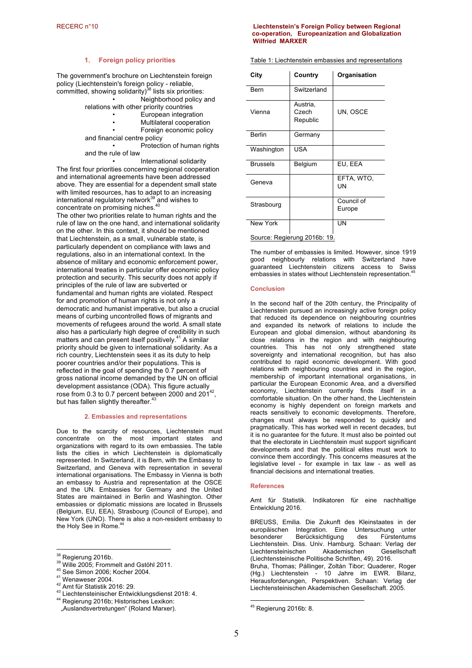## **1. Foreign policy priorities**

The government's brochure on Liechtenstein foreign policy (Liechtenstein's foreign policy - reliable, committed, showing solidarity)<sup>38</sup> lists six priorities:

• Neighborhood policy and relations with other priority countries

- European integration
	- Multilateral cooperation
		- Foreign economic policy

and financial centre policy

• Protection of human rights and the rule of law

• International solidarity The first four priorities concerning regional cooperation and international agreements have been addressed above. They are essential for a dependent small state with limited resources, has to adapt to an increasing international regulatory network $^{39}$  and wishes to concentrate on promising niches.<sup>40</sup>

The other two priorities relate to human rights and the rule of law on the one hand, and international solidarity on the other. In this context, it should be mentioned that Liechtenstein, as a small, vulnerable state, is particularly dependent on compliance with laws and regulations, also in an international context. In the absence of military and economic enforcement power, international treaties in particular offer economic policy protection and security. This security does not apply if principles of the rule of law are subverted or fundamental and human rights are violated. Respect for and promotion of human rights is not only a democratic and humanist imperative, but also a crucial means of curbing uncontrolled flows of migrants and movements of refugees around the world. A small state also has a particularly high degree of credibility in such matters and can present itself positively.<sup>41</sup> A similar priority should be given to international solidarity. As a rich country, Liechtenstein sees it as its duty to help poorer countries and/or their populations. This is reflected in the goal of spending the 0.7 percent of gross national income demanded by the UN on official development assistance (ODA). This figure actually rose from 0.3 to 0.7 percent between 2000 and 201<sup>42</sup>. but has fallen slightly thereafter.<sup>43</sup>

## **2. Embassies and representations**

Due to the scarcity of resources, Liechtenstein must concentrate on the most important states and organizations with regard to its own embassies. The table lists the cities in which Liechtenstein is diplomatically represented. In Switzerland, it is Bern, with the Embassy to Switzerland, and Geneva with representation in several international organisations. The Embassy in Vienna is both an embassy to Austria and representation at the OSCE and the UN. Embassies for Germany and the United States are maintained in Berlin and Washington. Other embassies or diplomatic missions are located in Brussels (Belgium, EU, EEA), Strasbourg (Council of Europe), and New York (UNO). There is also a non-resident embassy to the Holy See in Rome.<sup>4</sup>

 $\overline{a}$ 

## RECERC n°10 **Liechtenstein's Foreign Policy between Regional co-operation, Europeanization and Globalization Wilfried MARXER**

Table 1: Liechtenstein embassies and representations

| City                         | Country                       | Organisation            |
|------------------------------|-------------------------------|-------------------------|
| Bern                         | Switzerland                   |                         |
| Vienna                       | Austria,<br>Czech<br>Republic | UN, OSCE                |
| Berlin                       | Germany                       |                         |
| Washington                   | USA                           |                         |
| <b>Brussels</b>              | Belgium                       | EU, EEA                 |
| Geneva                       |                               | EFTA, WTO,<br><b>UN</b> |
| Strasbourg                   |                               | Council of<br>Europe    |
| New York                     |                               | UN                      |
| Source: Regierung 2016b: 19. |                               |                         |

The number of embassies is limited. However, since 1919 good neighbourly relations with Switzerland have guaranteed Liechtenstein citizens access to Swiss embassies in states without Liechtenstein representation.<sup>45</sup>

#### **Conclusion**

In the second half of the 20th century, the Principality of Liechtenstein pursued an increasingly active foreign policy that reduced its dependence on neighbouring countries and expanded its network of relations to include the European and global dimension, without abandoning its close relations in the region and with neighbouring countries. This has not only strengthened state sovereignty and international recognition, but has also contributed to rapid economic development. With good relations with neighbouring countries and in the region, membership of important international organisations, in particular the European Economic Area, and a diversified economy, Liechtenstein currently finds itself in a comfortable situation. On the other hand, the Liechtenstein economy is highly dependent on foreign markets and reacts sensitively to economic developments. Therefore, changes must always be responded to quickly and pragmatically. This has worked well in recent decades, but it is no guarantee for the future. It must also be pointed out that the electorate in Liechtenstein must support significant developments and that the political elites must work to convince them accordingly. This concerns measures at the legislative level - for example in tax law - as well as financial decisions and international treaties.

## **References**

Amt für Statistik. Indikatoren für eine nachhaltige Entwicklung 2016.

BREUSS, Emilia. Die Zukunft des Kleinstaates in der europäischen Integration. Eine Untersuchung unter<br>besonderer Berücksichtigung des Fürstentums Berücksichtigung Liechtenstein. Diss. Univ. Hamburg. Schaan: Verlag der Liechtensteinischen Akademischen Gesellschaft (Liechtensteinische Politische Schriften, 49). 2016.

Bruha, Thomas; Pállinger, Zoltán Tibor; Quaderer, Roger (Hg.) Liechtenstein - 10 Jahre im EWR. Bilanz, Herausforderungen, Perspektiven. Schaan: Verlag der Liechtensteinischen Akademischen Gesellschaft. 2005.

<u>.</u>

<sup>&</sup>lt;sup>38</sup> Regierung 2016b.<br><sup>39</sup> Wille 2005; Frommelt and Gstöhl 2011.<br><sup>40</sup> See Simon 2006; Kocher 2004.<br><sup>41</sup> Wenaweser 2004.<br><sup>42</sup> Amt für Statistik 2016: 29.<br><sup>43</sup> Liechtensteinischer Entwicklungsdienst 2018: 4.<br><sup>44</sup> Regierung

<sup>&</sup>quot;Auslandsvertretungen" (Roland Marxer).

 $45$  Regierung 2016b: 8.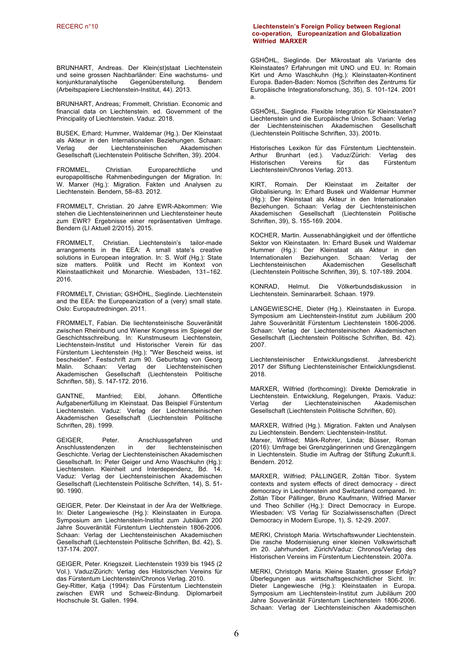BRUNHART, Andreas. Der Klein(st)staat Liechtenstein und seine grossen Nachbarländer: Eine wachstums- und<br>konjunkturanalytische Gegenüberstellung. Bendern Gegenüberstellung. Bendern (Arbeitspapiere Liechtenstein-Institut, 44). 2013.

BRUNHART, Andreas; Frommelt, Christian. Economic and financial data on Liechtenstein. ed. Government of the Principality of Liechtenstein. Vaduz. 2018.

BUSEK, Erhard; Hummer, Waldemar (Hg.). Der Kleinstaat als Akteur in den Internationalen Beziehungen. Schaan: Liechtensteinischen Gesellschaft (Liechtenstein Politische Schriften, 39). 2004.

FROMMEL, Christian. Europarechtliche und europapolitische Rahmenbedingungen der Migration. In: W. Marxer (Hg.): Migration. Fakten und Analysen zu Liechtenstein. Bendern, 58–83. 2012.

FROMMELT, Christian. 20 Jahre EWR-Abkommen: Wie stehen die Liechtensteinerinnen und Liechtensteiner heute zum EWR? Ergebnisse einer repräsentativen Umfrage. Bendern (LI Aktuell 2/2015). 2015.

FROMMELT, Christian. Liechtenstein's tailor-made arrangements in the EEA: A small state's creative solutions in European integration. In: S. Wolf (Hg.): State size matters. Politik und Recht im Kontext von Kleinstaatlichkeit und Monarchie. Wiesbaden, 131–162. 2016.

FROMMELT, Christian; GSHÖHL, Sieglinde. Liechtenstein and the EEA: the Europeanization of a (very) small state. Oslo: Europautredningen. 2011.

FROMMELT, Fabian. Die liechtensteinische Souveränität zwischen Rheinbund und Wiener Kongress im Spiegel der Geschichtsschreibung. In: Kunstmuseum Liechtenstein, Liechtenstein-Institut und Historischer Verein für das Fürstentum Liechtenstein (Hg.): "Wer Bescheid weiss, ist bescheiden". Festschrift zum 90. Geburtstag von Georg Malin. Schaan: Verlag der Liechtensteinischen Akademischen Gesellschaft (Liechtenstein Politische Schriften, 58), S. 147-172. 2016.

GANTNE, Manfried; Eibl, Johann. Öffentliche Aufgabenerfüllung im Kleinstaat. Das Beispiel Fürstentum Liechtenstein. Vaduz: Verlag der Liechtensteinischen Akademischen Gesellschaft (Liechtenstein Politische Schriften, 28). 1999.

GEIGER, Peter. Anschlussgefahren und<br>Anschlusstendenzen in der liechtensteinischen Anschlusstendenzen Geschichte. Verlag der Liechtensteinischen Akademischen Gesellschaft. In: Peter Geiger und Arno Waschkuhn (Hg.): Liechtenstein. Kleinheit und Interdependenz, Bd. 14. Vaduz: Verlag der Liechtensteinischen Akademischen Gesellschaft (Liechtenstein Politische Schriften, 14), S. 51- 90. 1990.

GEIGER, Peter. Der Kleinstaat in der Ära der Weltkriege. In: Dieter Langewiesche (Hg.): Kleinstaaten in Europa. Symposium am Liechtenstein-Institut zum Jubiläum 200 Jahre Souveränität Fürstentum Liechtenstein 1806-2006. Schaan: Verlag der Liechtensteinischen Akademischen Gesellschaft (Liechtenstein Politische Schriften, Bd. 42), S. 137-174. 2007.

GEIGER, Peter. Kriegszeit. Liechtenstein 1939 bis 1945 (2 Vol.). Vaduz/Zürich: Verlag des Historischen Vereins für das Fürstentum Liechtenstein/Chronos Verlag. 2010. Gey-Ritter, Katja (1994): Das Fürstentum Liechtenstein zwischen EWR und Schweiz-Bindung. Diplomarbeit Hochschule St. Gallen. 1994.

## RECERC n°10 **Liechtenstein's Foreign Policy between Regional co-operation, Europeanization and Globalization Wilfried MARXER**

GSHÖHL, Sieglinde. Der Mikrostaat als Variante des Kleinstaates? Erfahrungen mit UNO und EU. In: Romain Kirt und Arno Waschkuhn (Hg.): Kleinstaaten-Kontinent Europa. Baden-Baden: Nomos (Schriften des Zentrums für Europäische Integrationsforschung, 35), S. 101-124. 2001 a.

GSHÖHL, Sieglinde. Flexible Integration für Kleinstaaten? Liechtenstein und die Europäische Union. Schaan: Verlag der Liechtensteinischen Akademischen Gesellschaft (Liechtenstein Politische Schriften, 33). 2001b.

Historisches Lexikon für das Fürstentum Liechtenstein. Arthur Brunhart (ed.). Vaduz/Zürich: Verlag des Historischen Liechtenstein/Chronos Verlag. 2013.

KIRT, Romain. Der Kleinstaat im Zeitalter der Globalisierung. In: Erhard Busek und Waldemar Hummer (Hg.): Der Kleinstaat als Akteur in den Internationalen Beziehungen. Schaan: Verlag der Liechtensteinischen Akademischen Gesellschaft (Liechtenstein Politische Schriften, 39), S. 155-169. 2004.

KOCHER, Martin. Aussenabhängigkeit und der öffentliche Sektor von Kleinstaaten. In: Erhard Busek und Waldemar Hummer (Hg.): Der Kleinstaat als Akteur in den Internationalen Beziehungen. Schaan: Verlag der Liechtensteinischen Akademischen Gesellschaft (Liechtenstein Politische Schriften, 39), S. 107-189. 2004.

KONRAD, Helmut. Die Völkerbundsdiskussion in Liechtenstein. Seminararbeit. Schaan. 1979.

LANGEWIESCHE, Dieter (Hg.). Kleinstaaten in Europa. Symposium am Liechtenstein-Institut zum Jubiläum 200 Jahre Souveränität Fürstentum Liechtenstein 1806-2006. Schaan: Verlag der Liechtensteinischen Akademischen Gesellschaft (Liechtenstein Politische Schriften, Bd. 42). 2007.

Liechtensteinischer Entwicklungsdienst. Jahresbericht 2017 der Stiftung Liechtensteinischer Entwicklungsdienst. 2018.

MARXER, Wilfried (forthcoming): Direkte Demokratie in Liechtenstein. Entwicklung, Regelungen, Praxis. Vaduz:<br>Verlag der Liechtensteinischen Akademischen Verlag der Liechtensteinischen Gesellschaft (Liechtenstein Politische Schriften, 60).

MARXER, Wilfried (Hg.). Migration. Fakten und Analysen zu Liechtenstein. Bendern: Liechtenstein-Institut.

Marxer, Wilfried; Märk-Rohrer, Linda; Büsser, Roman (2016): Umfrage bei Grenzgängerinnen und Grenzgängern in Liechtenstein. Studie im Auftrag der Stiftung Zukunft.li. Bendern. 2012.

MARXER, Wilfried; PÀLLINGER, Zoltán Tibor. System contexts and system effects of direct democracy - direct democracy in Liechtenstein and Switzerland compared. In: Zoltán Tibor Pállinger, Bruno Kaufmann, Wilfried Marxer und Theo Schiller (Hg.): Direct Democracy in Europe. Wiesbaden: VS Verlag für Sozialwissenschaften (Direct Democracy in Modern Europe, 1), S. 12-29. 2007.

MERKI, Christoph Maria. Wirtschaftswunder Liechtenstein. Die rasche Modernisierung einer kleinen Volkswirtschaft im 20. Jahrhundert. Zürich/Vaduz: Chronos/Verlag des Historischen Vereins im Fürstentum Liechtenstein. 2007a.

MERKI, Christoph Maria. Kleine Staaten, grosser Erfolg? Überlegungen aus wirtschaftsgeschichtlicher Sicht. In: Dieter Langewiesche (Hg.): Kleinstaaten in Europa. Symposium am Liechtenstein-Institut zum Jubiläum 200 Jahre Souveränität Fürstentum Liechtenstein 1806-2006. Schaan: Verlag der Liechtensteinischen Akademischen